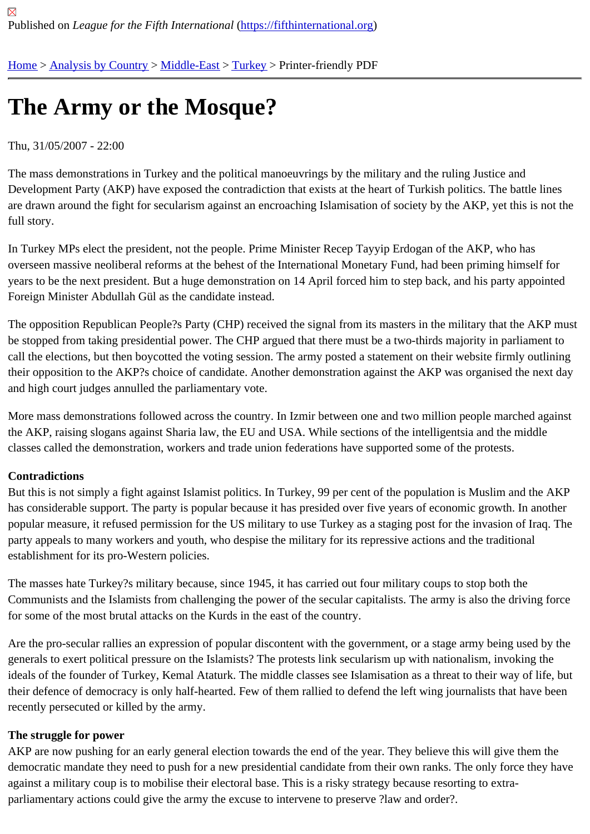# [The](https://fifthinternational.org/) [Army or t](https://fifthinternational.org/category/1)[he Mos](https://fifthinternational.org/category/1/178)[que](https://fifthinternational.org/category/1/178/174)?

### Thu, 31/05/2007 - 22:00

The mass demonstrations in Turkey and the political manoeuvrings by the military and the ruling Justice and Development Party (AKP) have exposed the contradiction that exists at the heart of Turkish politics. The battle line are drawn around the fight for secularism against an encroaching Islamisation of society by the AKP, yet this is no full story.

In Turkey MPs elect the president, not the people. Prime Minister Recep Tayyip Erdogan of the AKP, who has overseen massive neoliberal reforms at the behest of the International Monetary Fund, had been priming himself f years to be the next president. But a huge demonstration on 14 April forced him to step back, and his party appoin Foreign Minister Abdullah Gül as the candidate instead.

The opposition Republican People?s Party (CHP) received the signal from its masters in the military that the AKP be stopped from taking presidential power. The CHP argued that there must be a two-thirds majority in parliament call the elections, but then boycotted the voting session. The army posted a statement on their website firmly outlin their opposition to the AKP?s choice of candidate. Another demonstration against the AKP was organised the next and high court judges annulled the parliamentary vote.

More mass demonstrations followed across the country. In Izmir between one and two million people marched against the AKP, raising slogans against Sharia law, the EU and USA. While sections of the intelligentsia and the middle classes called the demonstration, workers and trade union federations have supported some of the protests.

#### **Contradictions**

But this is not simply a fight against Islamist politics. In Turkey, 99 per cent of the population is Muslim and the AK has considerable support. The party is popular because it has presided over five years of economic growth. In and popular measure, it refused permission for the US military to use Turkey as a staging post for the invasion of Iraq. party appeals to many workers and youth, who despise the military for its repressive actions and the traditional establishment for its pro-Western policies.

The masses hate Turkey?s military because, since 1945, it has carried out four military coups to stop both the Communists and the Islamists from challenging the power of the secular capitalists. The army is also the driving for for some of the most brutal attacks on the Kurds in the east of the country.

Are the pro-secular rallies an expression of popular discontent with the government, or a stage army being used b generals to exert political pressure on the Islamists? The protests link secularism up with nationalism, invoking the ideals of the founder of Turkey, Kemal Ataturk. The middle classes see Islamisation as a threat to their way of life, their defence of democracy is only half-hearted. Few of them rallied to defend the left wing journalists that have be recently persecuted or killed by the army.

#### The struggle for power

AKP are now pushing for an early general election towards the end of the year. They believe this will give them the democratic mandate they need to push for a new presidential candidate from their own ranks. The only force they against a military coup is to mobilise their electoral base. This is a risky strategy because resorting to extraparliamentary actions could give the army the excuse to intervene to preserve ?law and order?.